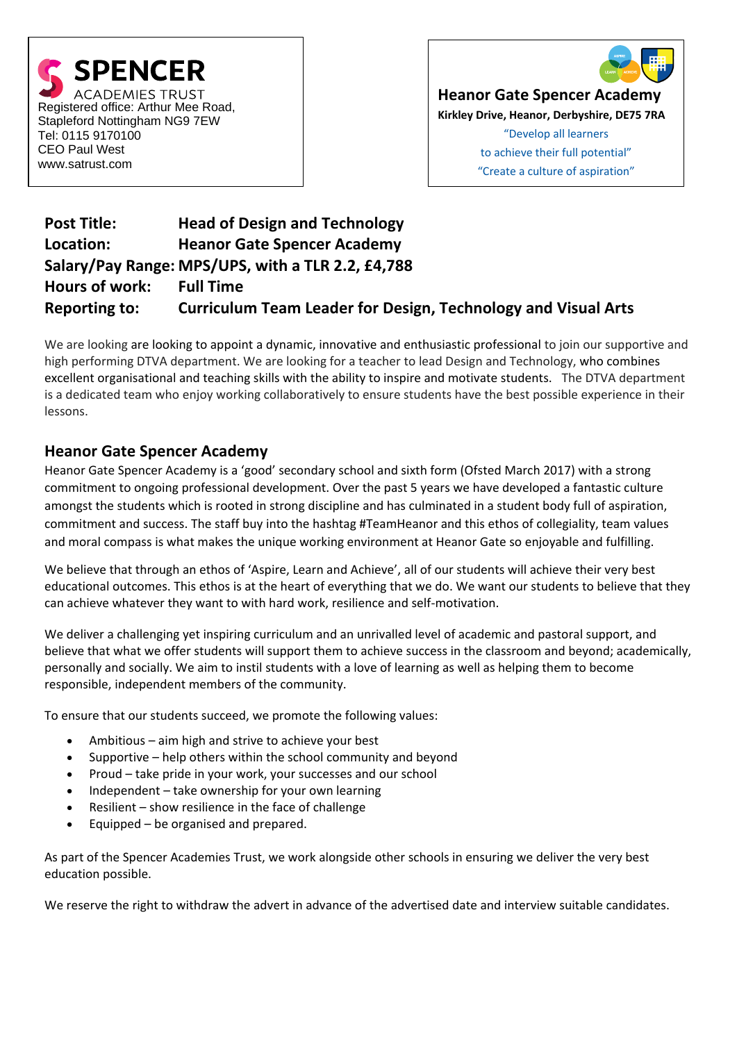



**Heanor Gate Spencer Academy**

**Kirkley Drive, Heanor, Derbyshire, DE75 7RA**

"Develop all learners to achieve their full potential" "Create a culture of aspiration"

## **Post Title: Head of Design and Technology Location: Heanor Gate Spencer Academy Salary/Pay Range: MPS/UPS, with a TLR 2.2, £4,788 Hours of work: Full Time Reporting to: Curriculum Team Leader for Design, Technology and Visual Arts**

We are looking are looking to appoint a dynamic, innovative and enthusiastic professional to join our supportive and high performing DTVA department. We are looking for a teacher to lead Design and Technology, who combines excellent organisational and teaching skills with the ability to inspire and motivate students. The DTVA department is a dedicated team who enjoy working collaboratively to ensure students have the best possible experience in their lessons.

## **Heanor Gate Spencer Academy**

Heanor Gate Spencer Academy is a 'good' secondary school and sixth form (Ofsted March 2017) with a strong commitment to ongoing professional development. Over the past 5 years we have developed a fantastic culture amongst the students which is rooted in strong discipline and has culminated in a student body full of aspiration, commitment and success. The staff buy into the hashtag #TeamHeanor and this ethos of collegiality, team values and moral compass is what makes the unique working environment at Heanor Gate so enjoyable and fulfilling.

We believe that through an ethos of 'Aspire, Learn and Achieve', all of our students will achieve their very best educational outcomes. This ethos is at the heart of everything that we do. We want our students to believe that they can achieve whatever they want to with hard work, resilience and self-motivation.

We deliver a challenging yet inspiring curriculum and an unrivalled level of academic and pastoral support, and believe that what we offer students will support them to achieve success in the classroom and beyond; academically, personally and socially. We aim to instil students with a love of learning as well as helping them to become responsible, independent members of the community.

To ensure that our students succeed, we promote the following values:

- Ambitious aim high and strive to achieve your best
- Supportive help others within the school community and beyond
- Proud take pride in your work, your successes and our school
- Independent take ownership for your own learning
- Resilient show resilience in the face of challenge
- Equipped be organised and prepared.

As part of the Spencer Academies Trust, we work alongside other schools in ensuring we deliver the very best education possible.

We reserve the right to withdraw the advert in advance of the advertised date and interview suitable candidates.